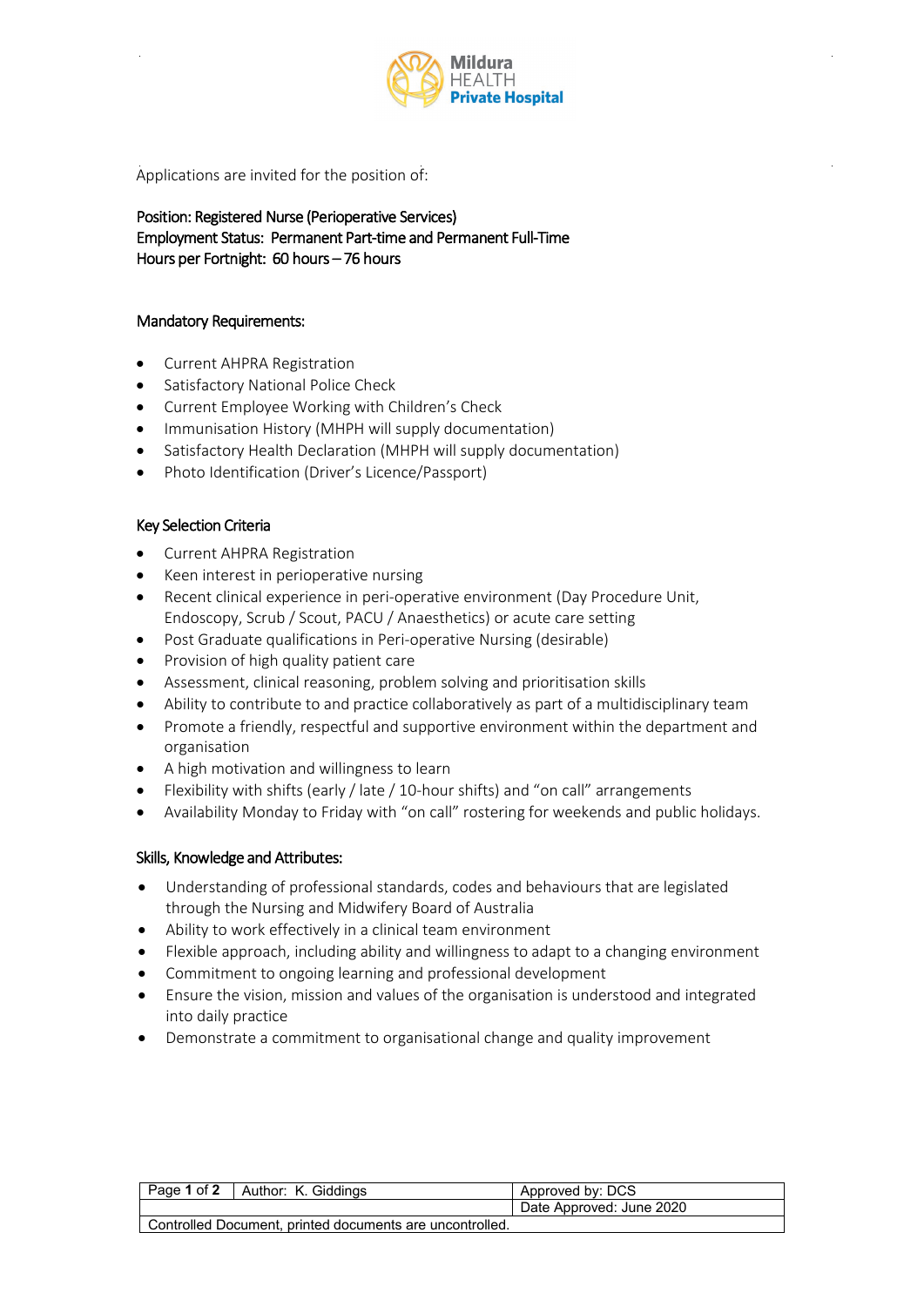

Applications are invited for the position of:

Position: Registered Nurse (Perioperative Services) Employment Status: Permanent Part-time and Permanent Full-Time Hours per Fortnight: 60 hours – 76 hours

## Mandatory Requirements:

- Current AHPRA Registration
- Satisfactory National Police Check
- Current Employee Working with Children's Check
- Immunisation History (MHPH will supply documentation)
- Satisfactory Health Declaration (MHPH will supply documentation)
- Photo Identification (Driver's Licence/Passport)

## Key Selection Criteria

- Current AHPRA Registration
- Keen interest in perioperative nursing
- Recent clinical experience in peri-operative environment (Day Procedure Unit, Endoscopy, Scrub / Scout, PACU / Anaesthetics) or acute care setting
- Post Graduate qualifications in Peri-operative Nursing (desirable)
- Provision of high quality patient care
- Assessment, clinical reasoning, problem solving and prioritisation skills
- Ability to contribute to and practice collaboratively as part of a multidisciplinary team
- Promote a friendly, respectful and supportive environment within the department and organisation
- A high motivation and willingness to learn
- Flexibility with shifts (early / late / 10-hour shifts) and "on call" arrangements
- Availability Monday to Friday with "on call" rostering for weekends and public holidays.

## Skills, Knowledge and Attributes:

- Understanding of professional standards, codes and behaviours that are legislated through the Nursing and Midwifery Board of Australia
- Ability to work effectively in a clinical team environment
- Flexible approach, including ability and willingness to adapt to a changing environment
- Commitment to ongoing learning and professional development
- Ensure the vision, mission and values of the organisation is understood and integrated into daily practice
- Demonstrate a commitment to organisational change and quality improvement

| Page 1 of 2   Author: K. Giddings                        | Approved by: DCS         |
|----------------------------------------------------------|--------------------------|
|                                                          | Date Approved: June 2020 |
| Controlled Document, printed documents are uncontrolled. |                          |